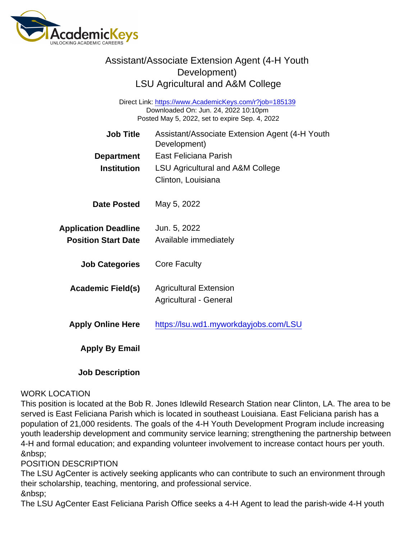Direct Link: <https://www.AcademicKeys.com/r?job=185139> Downloaded On: Jun. 24, 2022 10:10pm Posted May 5, 2022, set to expire Sep. 4, 2022

| Job Title                   | Assistant/Associate Extension Agent (4-H Youth<br>Development) |
|-----------------------------|----------------------------------------------------------------|
| Department                  | East Feliciana Parish                                          |
| Institution                 | <b>LSU Agricultural and A&amp;M College</b>                    |
|                             | Clinton, Louisiana                                             |
| Date Posted                 | May 5, 2022                                                    |
| <b>Application Deadline</b> | Jun. 5, 2022                                                   |
| <b>Position Start Date</b>  | Available immediately                                          |
| <b>Job Categories</b>       | <b>Core Faculty</b>                                            |
| Academic Field(s)           | <b>Agricultural Extension</b>                                  |
|                             | Agricultural - General                                         |
| <b>Apply Online Here</b>    | https://lsu.wd1.myworkdayjobs.com/LSU                          |
| Apply By Email              |                                                                |
|                             |                                                                |

Job Description

#### WORK LOCATION

This position is located at the Bob R. Jones Idlewild Research Station near Clinton, LA. The area to be served is East Feliciana Parish which is located in southeast Louisiana. East Feliciana parish has a population of 21,000 residents. The goals of the 4-H Youth Development Program include increasing youth leadership development and community service learning; strengthening the partnership between 4-H and formal education; and expanding volunteer involvement to increase contact hours per youth. &nbsp:

#### POSITION DESCRIPTION

The LSU AgCenter is actively seeking applicants who can contribute to such an environment through their scholarship, teaching, mentoring, and professional service. &nbsp:

The LSU AgCenter East Feliciana Parish Office seeks a 4-H Agent to lead the parish-wide 4-H youth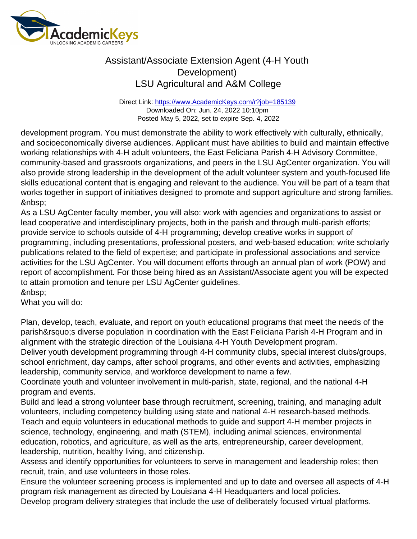Direct Link: <https://www.AcademicKeys.com/r?job=185139> Downloaded On: Jun. 24, 2022 10:10pm Posted May 5, 2022, set to expire Sep. 4, 2022

development program. You must demonstrate the ability to work effectively with culturally, ethnically, and socioeconomically diverse audiences. Applicant must have abilities to build and maintain effective working relationships with 4-H adult volunteers, the East Feliciana Parish 4-H Advisory Committee, community-based and grassroots organizations, and peers in the LSU AgCenter organization. You will also provide strong leadership in the development of the adult volunteer system and youth-focused life skills educational content that is engaging and relevant to the audience. You will be part of a team that works together in support of initiatives designed to promote and support agriculture and strong families. &nbsp:

As a LSU AgCenter faculty member, you will also: work with agencies and organizations to assist or lead cooperative and interdisciplinary projects, both in the parish and through multi-parish efforts; provide service to schools outside of 4-H programming; develop creative works in support of programming, including presentations, professional posters, and web-based education; write scholarly publications related to the field of expertise; and participate in professional associations and service activities for the LSU AgCenter. You will document efforts through an annual plan of work (POW) and report of accomplishment. For those being hired as an Assistant/Associate agent you will be expected to attain promotion and tenure per LSU AgCenter guidelines. 

What you will do:

Plan, develop, teach, evaluate, and report on youth educational programs that meet the needs of the parish's diverse population in coordination with the East Feliciana Parish 4-H Program and in alignment with the strategic direction of the Louisiana 4-H Youth Development program.

Deliver youth development programming through 4-H community clubs, special interest clubs/groups, school enrichment, day camps, after school programs, and other events and activities, emphasizing leadership, community service, and workforce development to name a few.

Coordinate youth and volunteer involvement in multi-parish, state, regional, and the national 4-H program and events.

Build and lead a strong volunteer base through recruitment, screening, training, and managing adult volunteers, including competency building using state and national 4-H research-based methods. Teach and equip volunteers in educational methods to guide and support 4-H member projects in science, technology, engineering, and math (STEM), including animal sciences, environmental education, robotics, and agriculture, as well as the arts, entrepreneurship, career development, leadership, nutrition, healthy living, and citizenship.

Assess and identify opportunities for volunteers to serve in management and leadership roles; then recruit, train, and use volunteers in those roles.

Ensure the volunteer screening process is implemented and up to date and oversee all aspects of 4-H program risk management as directed by Louisiana 4-H Headquarters and local policies. Develop program delivery strategies that include the use of deliberately focused virtual platforms.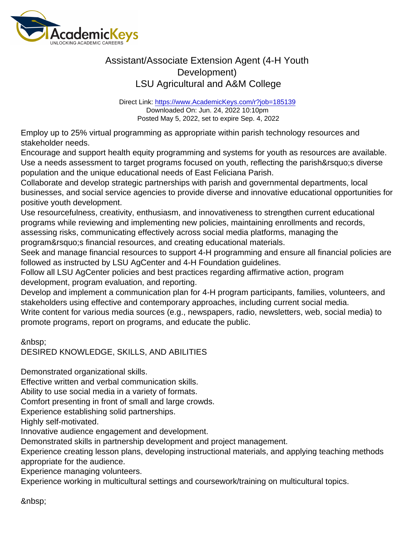Direct Link: <https://www.AcademicKeys.com/r?job=185139> Downloaded On: Jun. 24, 2022 10:10pm Posted May 5, 2022, set to expire Sep. 4, 2022

Employ up to 25% virtual programming as appropriate within parish technology resources and stakeholder needs.

Encourage and support health equity programming and systems for youth as resources are available. Use a needs assessment to target programs focused on youth, reflecting the parish's diverse population and the unique educational needs of East Feliciana Parish.

Collaborate and develop strategic partnerships with parish and governmental departments, local businesses, and social service agencies to provide diverse and innovative educational opportunities for positive youth development.

Use resourcefulness, creativity, enthusiasm, and innovativeness to strengthen current educational programs while reviewing and implementing new policies, maintaining enrollments and records, assessing risks, communicating effectively across social media platforms, managing the program' sfinancial resources, and creating educational materials.

Seek and manage financial resources to support 4-H programming and ensure all financial policies are followed as instructed by LSU AgCenter and 4-H Foundation guidelines.

Follow all LSU AgCenter policies and best practices regarding affirmative action, program development, program evaluation, and reporting.

Develop and implement a communication plan for 4-H program participants, families, volunteers, and stakeholders using effective and contemporary approaches, including current social media.

Write content for various media sources (e.g., newspapers, radio, newsletters, web, social media) to promote programs, report on programs, and educate the public.

DESIRED KNOWLEDGE, SKILLS, AND ABILITIES

Demonstrated organizational skills.

Effective written and verbal communication skills.

Ability to use social media in a variety of formats.

Comfort presenting in front of small and large crowds.

Experience establishing solid partnerships.

Highly self-motivated.

Innovative audience engagement and development.

Demonstrated skills in partnership development and project management.

Experience creating lesson plans, developing instructional materials, and applying teaching methods appropriate for the audience.

Experience managing volunteers.

Experience working in multicultural settings and coursework/training on multicultural topics.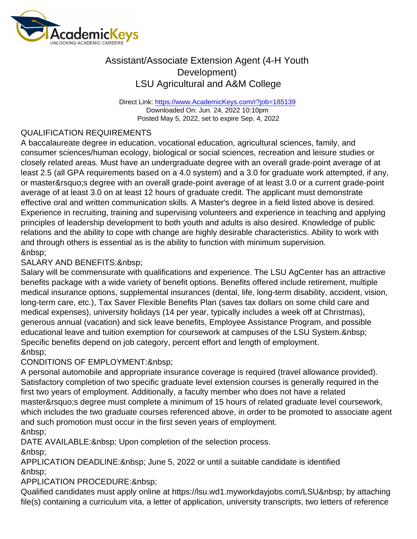Direct Link: <https://www.AcademicKeys.com/r?job=185139> Downloaded On: Jun. 24, 2022 10:10pm Posted May 5, 2022, set to expire Sep. 4, 2022

#### QUALIFICATION REQUIREMENTS

A baccalaureate degree in education, vocational education, agricultural sciences, family, and consumer sciences/human ecology, biological or social sciences, recreation and leisure studies or closely related areas. Must have an undergraduate degree with an overall grade-point average of at least 2.5 (all GPA requirements based on a 4.0 system) and a 3.0 for graduate work attempted, if any, or master' sdegree with an overall grade-point average of at least 3.0 or a current grade-point average of at least 3.0 on at least 12 hours of graduate credit. The applicant must demonstrate effective oral and written communication skills. A Master's degree in a field listed above is desired. Experience in recruiting, training and supervising volunteers and experience in teaching and applying principles of leadership development to both youth and adults is also desired. Knowledge of public relations and the ability to cope with change are highly desirable characteristics. Ability to work with and through others is essential as is the ability to function with minimum supervision. 

#### SALARY AND BENEFITS: & nbsp;

Salary will be commensurate with qualifications and experience. The LSU AgCenter has an attractive benefits package with a wide variety of benefit options. Benefits offered include retirement, multiple medical insurance options, supplemental insurances (dental, life, long-term disability, accident, vision, long-term care, etc.), Tax Saver Flexible Benefits Plan (saves tax dollars on some child care and medical expenses), university holidays (14 per year, typically includes a week off at Christmas), generous annual (vacation) and sick leave benefits, Employee Assistance Program, and possible educational leave and tuition exemption for coursework at campuses of the LSU System. Specific benefits depend on job category, percent effort and length of employment. &nbsp:

#### CONDITIONS OF EMPLOYMENT:

A personal automobile and appropriate insurance coverage is required (travel allowance provided). Satisfactory completion of two specific graduate level extension courses is generally required in the first two years of employment. Additionally, a faculty member who does not have a related master' sdegree must complete a minimum of 15 hours of related graduate level coursework, which includes the two graduate courses referenced above, in order to be promoted to associate agent and such promotion must occur in the first seven years of employment. &nbsp:

DATE AVAILABLE: & nbsp; Upon completion of the selection process.

APPLICATION DEADLINE: & nbsp; June 5, 2022 or until a suitable candidate is identified 

APPLICATION PROCEDURE:

Qualified candidates must apply online at https://lsu.wd1.myworkdayjobs.com/LSU by attaching file(s) containing a curriculum vita, a letter of application, university transcripts, two letters of reference